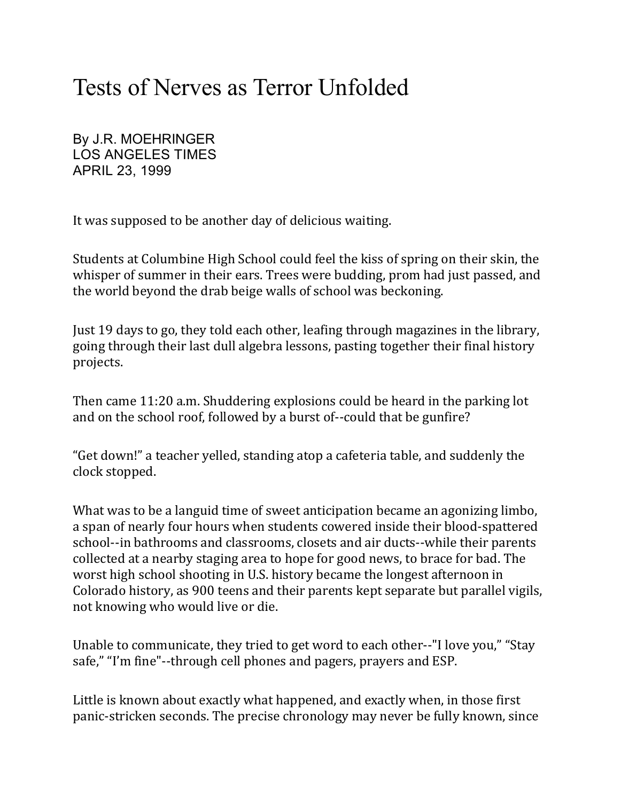# Tests of Nerves as Terror Unfolded

By J.R. MOEHRINGER LOS ANGELES TIMES APRIL 23, 1999

It was supposed to be another day of delicious waiting.

Students at Columbine High School could feel the kiss of spring on their skin, the whisper of summer in their ears. Trees were budding, prom had just passed, and the world beyond the drab beige walls of school was beckoning.

Just 19 days to go, they told each other, leafing through magazines in the library, going through their last dull algebra lessons, pasting together their final history projects.

Then came 11:20 a.m. Shuddering explosions could be heard in the parking lot and on the school roof, followed by a burst of--could that be gunfire?

"Get down!" a teacher yelled, standing atop a cafeteria table, and suddenly the clock stopped.

What was to be a languid time of sweet anticipation became an agonizing limbo, a span of nearly four hours when students cowered inside their blood-spattered school--in bathrooms and classrooms, closets and air ducts--while their parents collected at a nearby staging area to hope for good news, to brace for bad. The worst high school shooting in U.S. history became the longest afternoon in Colorado history, as 900 teens and their parents kept separate but parallel vigils, not knowing who would live or die.

Unable to communicate, they tried to get word to each other--"I love you," "Stay safe," "I'm fine"--through cell phones and pagers, prayers and ESP.

Little is known about exactly what happened, and exactly when, in those first panic-stricken seconds. The precise chronology may never be fully known, since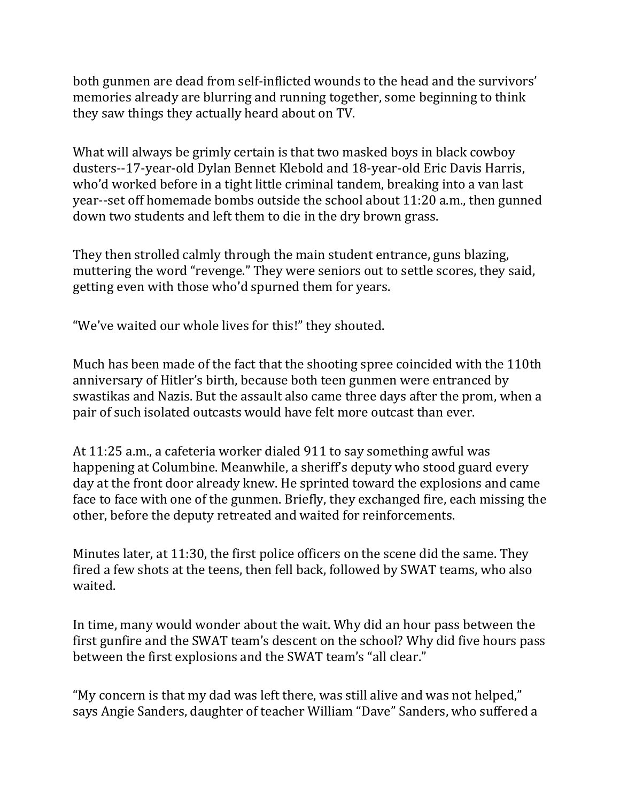both gunmen are dead from self-inflicted wounds to the head and the survivors' memories already are blurring and running together, some beginning to think they saw things they actually heard about on TV.

What will always be grimly certain is that two masked boys in black cowboy dusters--17-year-old Dylan Bennet Klebold and 18-year-old Eric Davis Harris, who'd worked before in a tight little criminal tandem, breaking into a van last year--set off homemade bombs outside the school about 11:20 a.m., then gunned down two students and left them to die in the dry brown grass.

They then strolled calmly through the main student entrance, guns blazing, muttering the word "revenge." They were seniors out to settle scores, they said, getting even with those who'd spurned them for years.

"We've waited our whole lives for this!" they shouted.

Much has been made of the fact that the shooting spree coincided with the 110th anniversary of Hitler's birth, because both teen gunmen were entranced by swastikas and Nazis. But the assault also came three days after the prom, when a pair of such isolated outcasts would have felt more outcast than ever.

At 11:25 a.m., a cafeteria worker dialed 911 to say something awful was happening at Columbine. Meanwhile, a sheriff's deputy who stood guard every day at the front door already knew. He sprinted toward the explosions and came face to face with one of the gunmen. Briefly, they exchanged fire, each missing the other, before the deputy retreated and waited for reinforcements.

Minutes later, at 11:30, the first police officers on the scene did the same. They fired a few shots at the teens, then fell back, followed by SWAT teams, who also waited.

In time, many would wonder about the wait. Why did an hour pass between the first gunfire and the SWAT team's descent on the school? Why did five hours pass between the first explosions and the SWAT team's "all clear."

"My concern is that my dad was left there, was still alive and was not helped," says Angie Sanders, daughter of teacher William "Dave" Sanders, who suffered a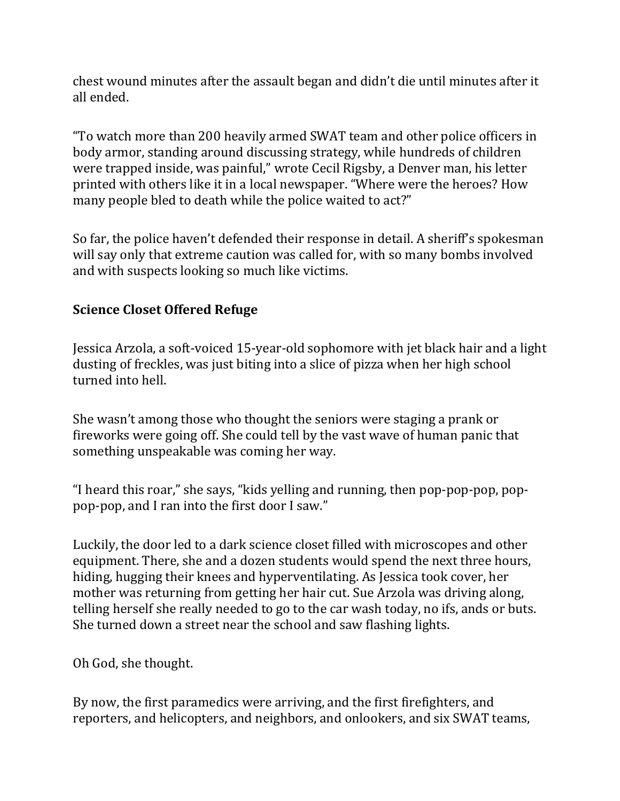chest wound minutes after the assault began and didn't die until minutes after it all ended.

"To watch more than 200 heavily armed SWAT team and other police officers in body armor, standing around discussing strategy, while hundreds of children were trapped inside, was painful," wrote Cecil Rigsby, a Denver man, his letter printed with others like it in a local newspaper. "Where were the heroes? How many people bled to death while the police waited to act?"

So far, the police haven't defended their response in detail. A sheriff's spokesman will say only that extreme caution was called for, with so many bombs involved and with suspects looking so much like victims.

## **Science Closet Offered Refuge**

Jessica Arzola, a soft-voiced 15-year-old sophomore with jet black hair and a light dusting of freckles, was just biting into a slice of pizza when her high school turned into hell.

She wasn't among those who thought the seniors were staging a prank or fireworks were going off. She could tell by the vast wave of human panic that something unspeakable was coming her way.

"I heard this roar," she says, "kids yelling and running, then pop-pop-pop, poppop-pop, and I ran into the first door I saw."

Luckily, the door led to a dark science closet filled with microscopes and other equipment. There, she and a dozen students would spend the next three hours, hiding, hugging their knees and hyperventilating. As Jessica took cover, her mother was returning from getting her hair cut. Sue Arzola was driving along, telling herself she really needed to go to the car wash today, no ifs, ands or buts. She turned down a street near the school and saw flashing lights.

Oh God, she thought.

By now, the first paramedics were arriving, and the first firefighters, and reporters, and helicopters, and neighbors, and onlookers, and six SWAT teams,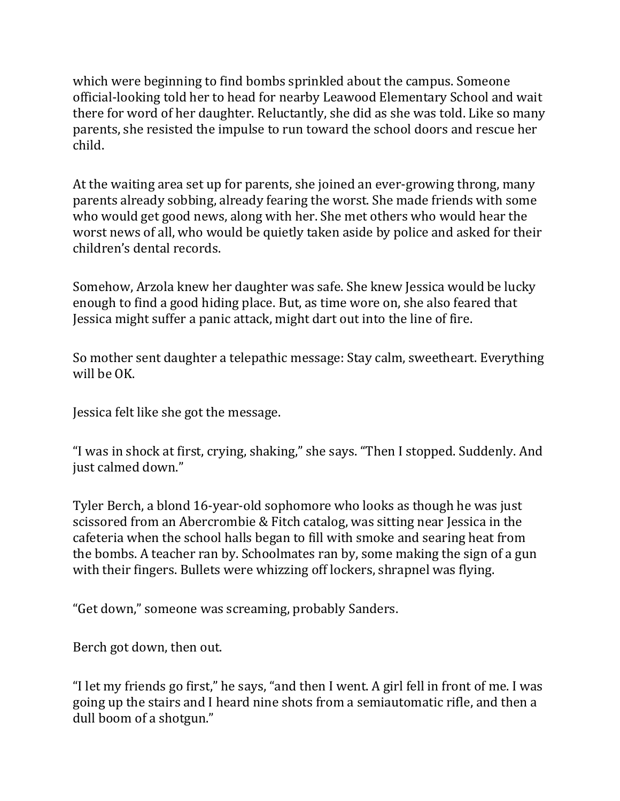which were beginning to find bombs sprinkled about the campus. Someone official-looking told her to head for nearby Leawood Elementary School and wait there for word of her daughter. Reluctantly, she did as she was told. Like so many parents, she resisted the impulse to run toward the school doors and rescue her child.

At the waiting area set up for parents, she joined an ever-growing throng, many parents already sobbing, already fearing the worst. She made friends with some who would get good news, along with her. She met others who would hear the worst news of all, who would be quietly taken aside by police and asked for their children's dental records.

Somehow, Arzola knew her daughter was safe. She knew Jessica would be lucky enough to find a good hiding place. But, as time wore on, she also feared that Jessica might suffer a panic attack, might dart out into the line of fire.

So mother sent daughter a telepathic message: Stay calm, sweetheart. Everything will be OK.

Jessica felt like she got the message.

"I was in shock at first, crying, shaking," she says. "Then I stopped. Suddenly. And just calmed down."

Tyler Berch, a blond 16-year-old sophomore who looks as though he was just scissored from an Abercrombie & Fitch catalog, was sitting near Jessica in the cafeteria when the school halls began to fill with smoke and searing heat from the bombs. A teacher ran by. Schoolmates ran by, some making the sign of a gun with their fingers. Bullets were whizzing off lockers, shrapnel was flying.

"Get down," someone was screaming, probably Sanders.

Berch got down, then out.

"I let my friends go first," he says, "and then I went. A girl fell in front of me. I was going up the stairs and I heard nine shots from a semiautomatic rifle, and then a dull boom of a shotgun."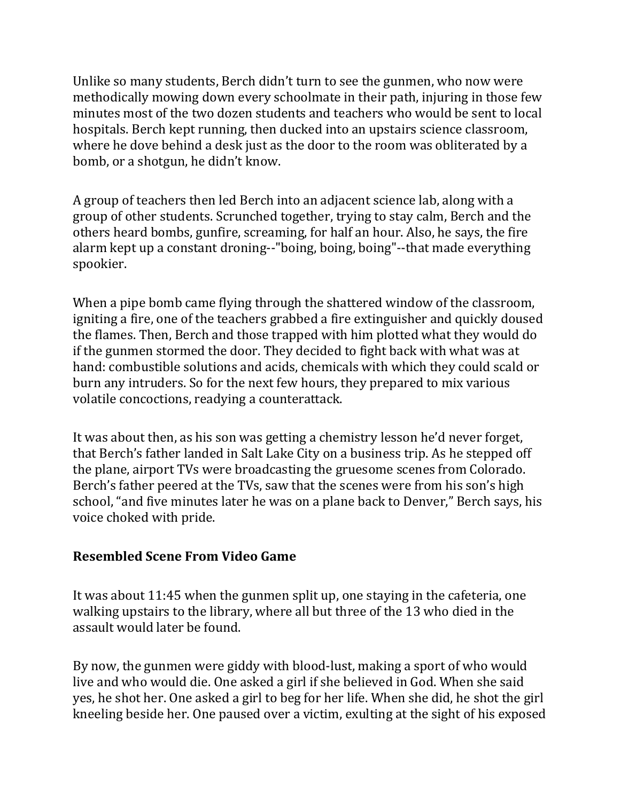Unlike so many students, Berch didn't turn to see the gunmen, who now were methodically mowing down every schoolmate in their path, injuring in those few minutes most of the two dozen students and teachers who would be sent to local hospitals. Berch kept running, then ducked into an upstairs science classroom, where he dove behind a desk just as the door to the room was obliterated by a bomb, or a shotgun, he didn't know.

A group of teachers then led Berch into an adjacent science lab, along with a group of other students. Scrunched together, trying to stay calm, Berch and the others heard bombs, gunfire, screaming, for half an hour. Also, he says, the fire alarm kept up a constant droning--"boing, boing, boing"--that made everything spookier.

When a pipe bomb came flying through the shattered window of the classroom, igniting a fire, one of the teachers grabbed a fire extinguisher and quickly doused the flames. Then, Berch and those trapped with him plotted what they would do if the gunmen stormed the door. They decided to fight back with what was at hand: combustible solutions and acids, chemicals with which they could scald or burn any intruders. So for the next few hours, they prepared to mix various volatile concoctions, readying a counterattack.

It was about then, as his son was getting a chemistry lesson he'd never forget, that Berch's father landed in Salt Lake City on a business trip. As he stepped off the plane, airport TVs were broadcasting the gruesome scenes from Colorado. Berch's father peered at the TVs, saw that the scenes were from his son's high school, "and five minutes later he was on a plane back to Denver," Berch says, his voice choked with pride.

#### **Resembled Scene From Video Game**

It was about 11:45 when the gunmen split up, one staying in the cafeteria, one walking upstairs to the library, where all but three of the 13 who died in the assault would later be found.

By now, the gunmen were giddy with blood-lust, making a sport of who would live and who would die. One asked a girl if she believed in God. When she said yes, he shot her. One asked a girl to beg for her life. When she did, he shot the girl kneeling beside her. One paused over a victim, exulting at the sight of his exposed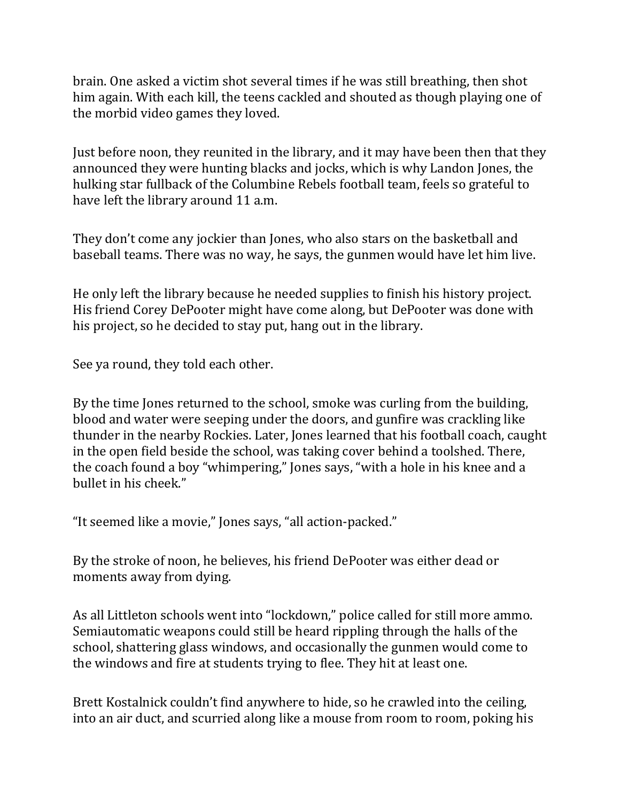brain. One asked a victim shot several times if he was still breathing, then shot him again. With each kill, the teens cackled and shouted as though playing one of the morbid video games they loved.

Just before noon, they reunited in the library, and it may have been then that they announced they were hunting blacks and jocks, which is why Landon Jones, the hulking star fullback of the Columbine Rebels football team, feels so grateful to have left the library around 11 a.m.

They don't come any jockier than Jones, who also stars on the basketball and baseball teams. There was no way, he says, the gunmen would have let him live.

He only left the library because he needed supplies to finish his history project. His friend Corey DePooter might have come along, but DePooter was done with his project, so he decided to stay put, hang out in the library.

See ya round, they told each other.

By the time Jones returned to the school, smoke was curling from the building, blood and water were seeping under the doors, and gunfire was crackling like thunder in the nearby Rockies. Later, Jones learned that his football coach, caught in the open field beside the school, was taking cover behind a toolshed. There, the coach found a boy "whimpering," Jones says, "with a hole in his knee and a bullet in his cheek."

"It seemed like a movie," Jones says, "all action-packed."

By the stroke of noon, he believes, his friend DePooter was either dead or moments away from dying.

As all Littleton schools went into "lockdown," police called for still more ammo. Semiautomatic weapons could still be heard rippling through the halls of the school, shattering glass windows, and occasionally the gunmen would come to the windows and fire at students trying to flee. They hit at least one.

Brett Kostalnick couldn't find anywhere to hide, so he crawled into the ceiling, into an air duct, and scurried along like a mouse from room to room, poking his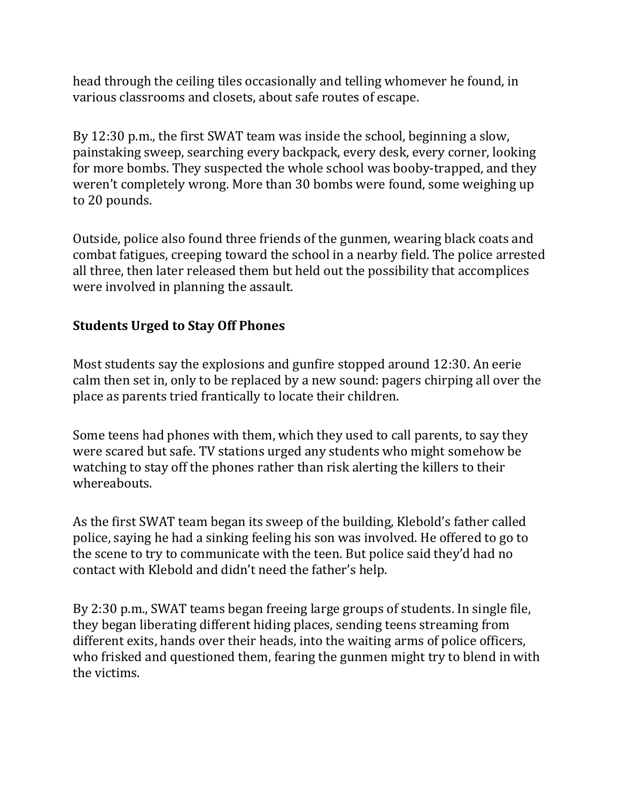head through the ceiling tiles occasionally and telling whomever he found, in various classrooms and closets, about safe routes of escape.

By 12:30 p.m., the first SWAT team was inside the school, beginning a slow, painstaking sweep, searching every backpack, every desk, every corner, looking for more bombs. They suspected the whole school was booby-trapped, and they weren't completely wrong. More than 30 bombs were found, some weighing up to 20 pounds.

Outside, police also found three friends of the gunmen, wearing black coats and combat fatigues, creeping toward the school in a nearby field. The police arrested all three, then later released them but held out the possibility that accomplices were involved in planning the assault.

## **Students Urged to Stay Off Phones**

Most students say the explosions and gunfire stopped around 12:30. An eerie calm then set in, only to be replaced by a new sound: pagers chirping all over the place as parents tried frantically to locate their children.

Some teens had phones with them, which they used to call parents, to say they were scared but safe. TV stations urged any students who might somehow be watching to stay off the phones rather than risk alerting the killers to their whereabouts.

As the first SWAT team began its sweep of the building, Klebold's father called police, saying he had a sinking feeling his son was involved. He offered to go to the scene to try to communicate with the teen. But police said they'd had no contact with Klebold and didn't need the father's help.

By 2:30 p.m., SWAT teams began freeing large groups of students. In single file, they began liberating different hiding places, sending teens streaming from different exits, hands over their heads, into the waiting arms of police officers, who frisked and questioned them, fearing the gunmen might try to blend in with the victims.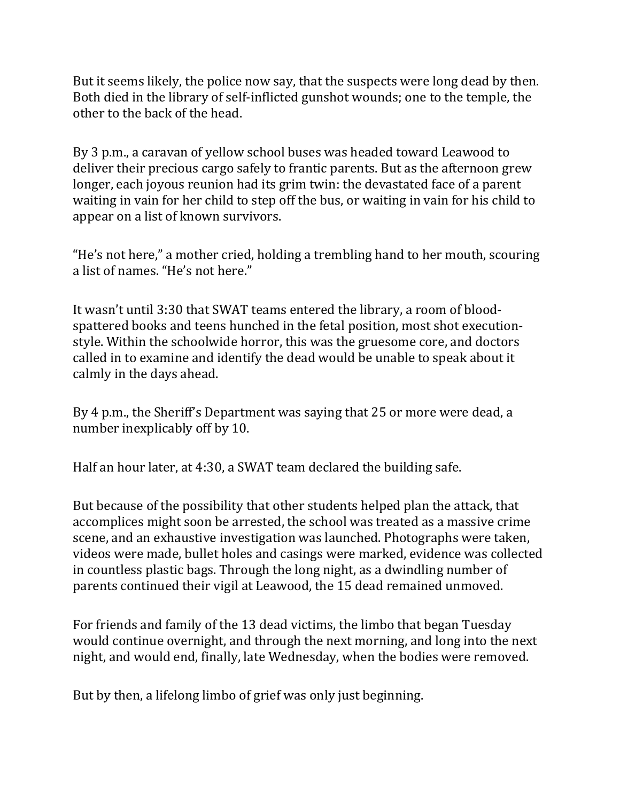But it seems likely, the police now say, that the suspects were long dead by then. Both died in the library of self-inflicted gunshot wounds; one to the temple, the other to the back of the head.

By 3 p.m., a caravan of yellow school buses was headed toward Leawood to deliver their precious cargo safely to frantic parents. But as the afternoon grew longer, each joyous reunion had its grim twin: the devastated face of a parent waiting in vain for her child to step off the bus, or waiting in vain for his child to appear on a list of known survivors.

"He's not here," a mother cried, holding a trembling hand to her mouth, scouring a list of names. "He's not here."

It wasn't until 3:30 that SWAT teams entered the library, a room of bloodspattered books and teens hunched in the fetal position, most shot executionstyle. Within the schoolwide horror, this was the gruesome core, and doctors called in to examine and identify the dead would be unable to speak about it calmly in the days ahead.

By 4 p.m., the Sheriff's Department was saying that 25 or more were dead, a number inexplicably off by 10.

Half an hour later, at 4:30, a SWAT team declared the building safe.

But because of the possibility that other students helped plan the attack, that accomplices might soon be arrested, the school was treated as a massive crime scene, and an exhaustive investigation was launched. Photographs were taken, videos were made, bullet holes and casings were marked, evidence was collected in countless plastic bags. Through the long night, as a dwindling number of parents continued their vigil at Leawood, the 15 dead remained unmoved.

For friends and family of the 13 dead victims, the limbo that began Tuesday would continue overnight, and through the next morning, and long into the next night, and would end, finally, late Wednesday, when the bodies were removed.

But by then, a lifelong limbo of grief was only just beginning.